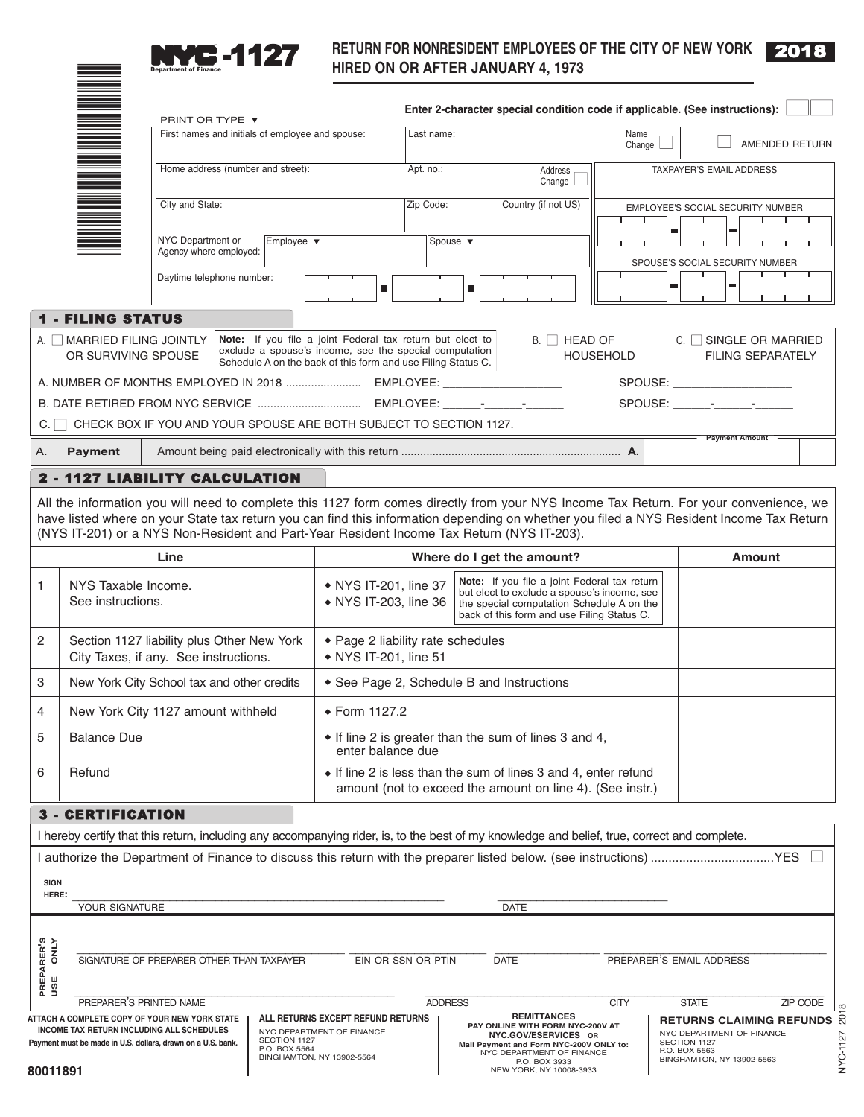

\*

# **RETURN FOR NONRESIDENT EMPLOYEES OF THE CITY OF NEW YORK 2018<br>
HIRED ON OR AFTER JANUARY 4, 1973**

NYC-1127 2018

|                                                                                                                                                                                            |                                                      |                                                                                                                                                                                                                                                                                                                                                                                |                                                                                             |                                                                                                                                                                                     |                                                                                                                                                                                        |                                                                                                                                                        | Enter 2-character special condition code if applicable. (See instructions): |                  |                                                                                                                            |                                                                                                                                                                                                                                |                          |          |
|--------------------------------------------------------------------------------------------------------------------------------------------------------------------------------------------|------------------------------------------------------|--------------------------------------------------------------------------------------------------------------------------------------------------------------------------------------------------------------------------------------------------------------------------------------------------------------------------------------------------------------------------------|---------------------------------------------------------------------------------------------|-------------------------------------------------------------------------------------------------------------------------------------------------------------------------------------|----------------------------------------------------------------------------------------------------------------------------------------------------------------------------------------|--------------------------------------------------------------------------------------------------------------------------------------------------------|-----------------------------------------------------------------------------|------------------|----------------------------------------------------------------------------------------------------------------------------|--------------------------------------------------------------------------------------------------------------------------------------------------------------------------------------------------------------------------------|--------------------------|----------|
|                                                                                                                                                                                            |                                                      | PRINT OR TYPE ▼<br>First names and initials of employee and spouse:                                                                                                                                                                                                                                                                                                            |                                                                                             |                                                                                                                                                                                     | Last name:                                                                                                                                                                             |                                                                                                                                                        |                                                                             | Name             |                                                                                                                            |                                                                                                                                                                                                                                |                          |          |
|                                                                                                                                                                                            |                                                      |                                                                                                                                                                                                                                                                                                                                                                                |                                                                                             |                                                                                                                                                                                     |                                                                                                                                                                                        |                                                                                                                                                        | Change                                                                      |                  |                                                                                                                            |                                                                                                                                                                                                                                | AMENDED RETURN           |          |
|                                                                                                                                                                                            | Home address (number and street):<br>City and State: |                                                                                                                                                                                                                                                                                                                                                                                |                                                                                             |                                                                                                                                                                                     | Apt. no.:                                                                                                                                                                              |                                                                                                                                                        | Address<br>Change                                                           |                  |                                                                                                                            | TAXPAYER'S EMAIL ADDRESS                                                                                                                                                                                                       |                          |          |
|                                                                                                                                                                                            |                                                      |                                                                                                                                                                                                                                                                                                                                                                                |                                                                                             |                                                                                                                                                                                     | Zip Code:                                                                                                                                                                              |                                                                                                                                                        | Country (if not US)                                                         | т                |                                                                                                                            | EMPLOYEE'S SOCIAL SECURITY NUMBER                                                                                                                                                                                              |                          |          |
|                                                                                                                                                                                            |                                                      | NYC Department or<br>Agency where employed:                                                                                                                                                                                                                                                                                                                                    | Employee ▼                                                                                  |                                                                                                                                                                                     |                                                                                                                                                                                        | Spouse $\blacktriangledown$                                                                                                                            |                                                                             |                  | $\blacksquare$                                                                                                             | $\blacksquare$                                                                                                                                                                                                                 |                          |          |
|                                                                                                                                                                                            |                                                      | Daytime telephone number:                                                                                                                                                                                                                                                                                                                                                      |                                                                                             |                                                                                                                                                                                     |                                                                                                                                                                                        |                                                                                                                                                        |                                                                             |                  | $\blacksquare$                                                                                                             | SPOUSE'S SOCIAL SECURITY NUMBER<br>$\blacksquare$                                                                                                                                                                              |                          |          |
|                                                                                                                                                                                            |                                                      |                                                                                                                                                                                                                                                                                                                                                                                |                                                                                             | $\blacksquare$                                                                                                                                                                      |                                                                                                                                                                                        | ш                                                                                                                                                      |                                                                             |                  |                                                                                                                            |                                                                                                                                                                                                                                |                          |          |
|                                                                                                                                                                                            | <b>1 - FILING STATUS</b>                             |                                                                                                                                                                                                                                                                                                                                                                                |                                                                                             |                                                                                                                                                                                     |                                                                                                                                                                                        |                                                                                                                                                        |                                                                             |                  |                                                                                                                            |                                                                                                                                                                                                                                |                          |          |
|                                                                                                                                                                                            | A. In MARRIED FILING JOINTLY<br>OR SURVIVING SPOUSE  |                                                                                                                                                                                                                                                                                                                                                                                |                                                                                             | Note: If you file a joint Federal tax return but elect to<br>exclude a spouse's income, see the special computation<br>Schedule A on the back of this form and use Filing Status C. |                                                                                                                                                                                        |                                                                                                                                                        | B. □ HEAD OF                                                                | <b>HOUSEHOLD</b> |                                                                                                                            | C. SINGLE OR MARRIED                                                                                                                                                                                                           | <b>FILING SEPARATELY</b> |          |
|                                                                                                                                                                                            |                                                      |                                                                                                                                                                                                                                                                                                                                                                                |                                                                                             |                                                                                                                                                                                     |                                                                                                                                                                                        |                                                                                                                                                        |                                                                             |                  |                                                                                                                            | SPOUSE: And the state of the state of the state of the state of the state of the state of the state of the state of the state of the state of the state of the state of the state of the state of the state of the state of th |                          |          |
|                                                                                                                                                                                            |                                                      |                                                                                                                                                                                                                                                                                                                                                                                |                                                                                             |                                                                                                                                                                                     |                                                                                                                                                                                        |                                                                                                                                                        |                                                                             |                  |                                                                                                                            | SPOUSE: - - - - -                                                                                                                                                                                                              |                          |          |
| C.                                                                                                                                                                                         |                                                      | CHECK BOX IF YOU AND YOUR SPOUSE ARE BOTH SUBJECT TO SECTION 1127.                                                                                                                                                                                                                                                                                                             |                                                                                             |                                                                                                                                                                                     |                                                                                                                                                                                        |                                                                                                                                                        |                                                                             |                  |                                                                                                                            | <b>Payment Amount</b>                                                                                                                                                                                                          |                          |          |
| Α.                                                                                                                                                                                         | <b>Payment</b>                                       |                                                                                                                                                                                                                                                                                                                                                                                |                                                                                             |                                                                                                                                                                                     |                                                                                                                                                                                        |                                                                                                                                                        |                                                                             |                  |                                                                                                                            |                                                                                                                                                                                                                                |                          |          |
|                                                                                                                                                                                            |                                                      | 2 - 1127 LIABILITY CALCULATION                                                                                                                                                                                                                                                                                                                                                 |                                                                                             |                                                                                                                                                                                     |                                                                                                                                                                                        |                                                                                                                                                        |                                                                             |                  |                                                                                                                            |                                                                                                                                                                                                                                |                          |          |
|                                                                                                                                                                                            |                                                      | All the information you will need to complete this 1127 form comes directly from your NYS Income Tax Return. For your convenience, we<br>have listed where on your State tax return you can find this information depending on whether you filed a NYS Resident Income Tax Return<br>(NYS IT-201) or a NYS Non-Resident and Part-Year Resident Income Tax Return (NYS IT-203). |                                                                                             |                                                                                                                                                                                     |                                                                                                                                                                                        |                                                                                                                                                        |                                                                             |                  |                                                                                                                            |                                                                                                                                                                                                                                |                          |          |
|                                                                                                                                                                                            |                                                      | Line                                                                                                                                                                                                                                                                                                                                                                           |                                                                                             | Where do I get the amount?                                                                                                                                                          |                                                                                                                                                                                        |                                                                                                                                                        |                                                                             | <b>Amount</b>    |                                                                                                                            |                                                                                                                                                                                                                                |                          |          |
| 1                                                                                                                                                                                          | NYS Taxable Income.<br>See instructions.             |                                                                                                                                                                                                                                                                                                                                                                                |                                                                                             | • NYS IT-201, line 37<br>• NYS IT-203, line 36                                                                                                                                      | Note: If you file a joint Federal tax return<br>but elect to exclude a spouse's income, see<br>the special computation Schedule A on the<br>back of this form and use Filing Status C. |                                                                                                                                                        |                                                                             |                  |                                                                                                                            |                                                                                                                                                                                                                                |                          |          |
| Section 1127 liability plus Other New York<br>2<br>City Taxes, if any. See instructions.                                                                                                   |                                                      |                                                                                                                                                                                                                                                                                                                                                                                | • Page 2 liability rate schedules<br>• NYS IT-201, line 51                                  |                                                                                                                                                                                     |                                                                                                                                                                                        |                                                                                                                                                        |                                                                             |                  |                                                                                                                            |                                                                                                                                                                                                                                |                          |          |
| 3                                                                                                                                                                                          |                                                      | New York City School tax and other credits                                                                                                                                                                                                                                                                                                                                     |                                                                                             | • See Page 2, Schedule B and Instructions                                                                                                                                           |                                                                                                                                                                                        |                                                                                                                                                        |                                                                             |                  |                                                                                                                            |                                                                                                                                                                                                                                |                          |          |
| 4                                                                                                                                                                                          |                                                      | New York City 1127 amount withheld                                                                                                                                                                                                                                                                                                                                             |                                                                                             | ◆ Form 1127.2                                                                                                                                                                       |                                                                                                                                                                                        |                                                                                                                                                        |                                                                             |                  |                                                                                                                            |                                                                                                                                                                                                                                |                          |          |
| 5                                                                                                                                                                                          | <b>Balance Due</b>                                   |                                                                                                                                                                                                                                                                                                                                                                                |                                                                                             | • If line 2 is greater than the sum of lines 3 and 4,<br>enter balance due                                                                                                          |                                                                                                                                                                                        |                                                                                                                                                        |                                                                             |                  |                                                                                                                            |                                                                                                                                                                                                                                |                          |          |
| 6                                                                                                                                                                                          | Refund                                               |                                                                                                                                                                                                                                                                                                                                                                                |                                                                                             | • If line 2 is less than the sum of lines 3 and 4, enter refund<br>amount (not to exceed the amount on line 4). (See instr.)                                                        |                                                                                                                                                                                        |                                                                                                                                                        |                                                                             |                  |                                                                                                                            |                                                                                                                                                                                                                                |                          |          |
|                                                                                                                                                                                            |                                                      |                                                                                                                                                                                                                                                                                                                                                                                |                                                                                             |                                                                                                                                                                                     |                                                                                                                                                                                        |                                                                                                                                                        |                                                                             |                  |                                                                                                                            |                                                                                                                                                                                                                                |                          |          |
|                                                                                                                                                                                            | <b>3 - CERTIFICATION</b>                             |                                                                                                                                                                                                                                                                                                                                                                                |                                                                                             |                                                                                                                                                                                     |                                                                                                                                                                                        |                                                                                                                                                        |                                                                             |                  |                                                                                                                            |                                                                                                                                                                                                                                |                          |          |
|                                                                                                                                                                                            |                                                      | I hereby certify that this return, including any accompanying rider, is, to the best of my knowledge and belief, true, correct and complete.                                                                                                                                                                                                                                   |                                                                                             |                                                                                                                                                                                     |                                                                                                                                                                                        |                                                                                                                                                        |                                                                             |                  |                                                                                                                            |                                                                                                                                                                                                                                |                          |          |
|                                                                                                                                                                                            |                                                      |                                                                                                                                                                                                                                                                                                                                                                                |                                                                                             |                                                                                                                                                                                     |                                                                                                                                                                                        |                                                                                                                                                        |                                                                             |                  |                                                                                                                            |                                                                                                                                                                                                                                |                          |          |
| <b>SIGN</b><br>HERE:                                                                                                                                                                       |                                                      |                                                                                                                                                                                                                                                                                                                                                                                |                                                                                             |                                                                                                                                                                                     |                                                                                                                                                                                        |                                                                                                                                                        |                                                                             |                  |                                                                                                                            |                                                                                                                                                                                                                                |                          |          |
|                                                                                                                                                                                            | YOUR SIGNATURE                                       |                                                                                                                                                                                                                                                                                                                                                                                |                                                                                             |                                                                                                                                                                                     |                                                                                                                                                                                        |                                                                                                                                                        | DATE                                                                        |                  |                                                                                                                            |                                                                                                                                                                                                                                |                          |          |
| PREPARER'S<br>USE ONLY                                                                                                                                                                     |                                                      | SIGNATURE OF PREPARER OTHER THAN TAXPAYER                                                                                                                                                                                                                                                                                                                                      |                                                                                             | EIN OR SSN OR PTIN                                                                                                                                                                  |                                                                                                                                                                                        |                                                                                                                                                        | <b>DATE</b>                                                                 |                  |                                                                                                                            | PREPARER'S EMAIL ADDRESS                                                                                                                                                                                                       |                          |          |
|                                                                                                                                                                                            | PREPARER'S PRINTED NAME                              |                                                                                                                                                                                                                                                                                                                                                                                |                                                                                             |                                                                                                                                                                                     | <b>ADDRESS</b>                                                                                                                                                                         |                                                                                                                                                        |                                                                             | <b>CITY</b>      |                                                                                                                            | <b>STATE</b>                                                                                                                                                                                                                   |                          | ZIP CODE |
| ATTACH A COMPLETE COPY OF YOUR NEW YORK STATE<br>INCOME TAX RETURN INCLUDING ALL SCHEDULES<br>SECTION 1127<br>Payment must be made in U.S. dollars, drawn on a U.S. bank.<br>P.O. BOX 5564 |                                                      |                                                                                                                                                                                                                                                                                                                                                                                | ALL RETURNS EXCEPT REFUND RETURNS<br>NYC DEPARTMENT OF FINANCE<br>BINGHAMTON, NY 13902-5564 |                                                                                                                                                                                     |                                                                                                                                                                                        | <b>REMITTANCES</b><br>PAY ONLINE WITH FORM NYC-200V AT<br>NYC.GOV/ESERVICES OR<br>Mail Payment and Form NYC-200V ONLY to:<br>NYC DEPARTMENT OF FINANCE |                                                                             |                  | <b>RETURNS CLAIMING REFUNDS</b><br>NYC DEPARTMENT OF FINANCE<br>SECTION 1127<br>P.O. BOX 5563<br>BINGHAMTON, NY 13902-5563 |                                                                                                                                                                                                                                |                          |          |
| 80011891                                                                                                                                                                                   |                                                      |                                                                                                                                                                                                                                                                                                                                                                                |                                                                                             |                                                                                                                                                                                     |                                                                                                                                                                                        |                                                                                                                                                        | P.O. BOX 3933<br>NEW YORK, NY 10008-3933                                    |                  |                                                                                                                            |                                                                                                                                                                                                                                |                          |          |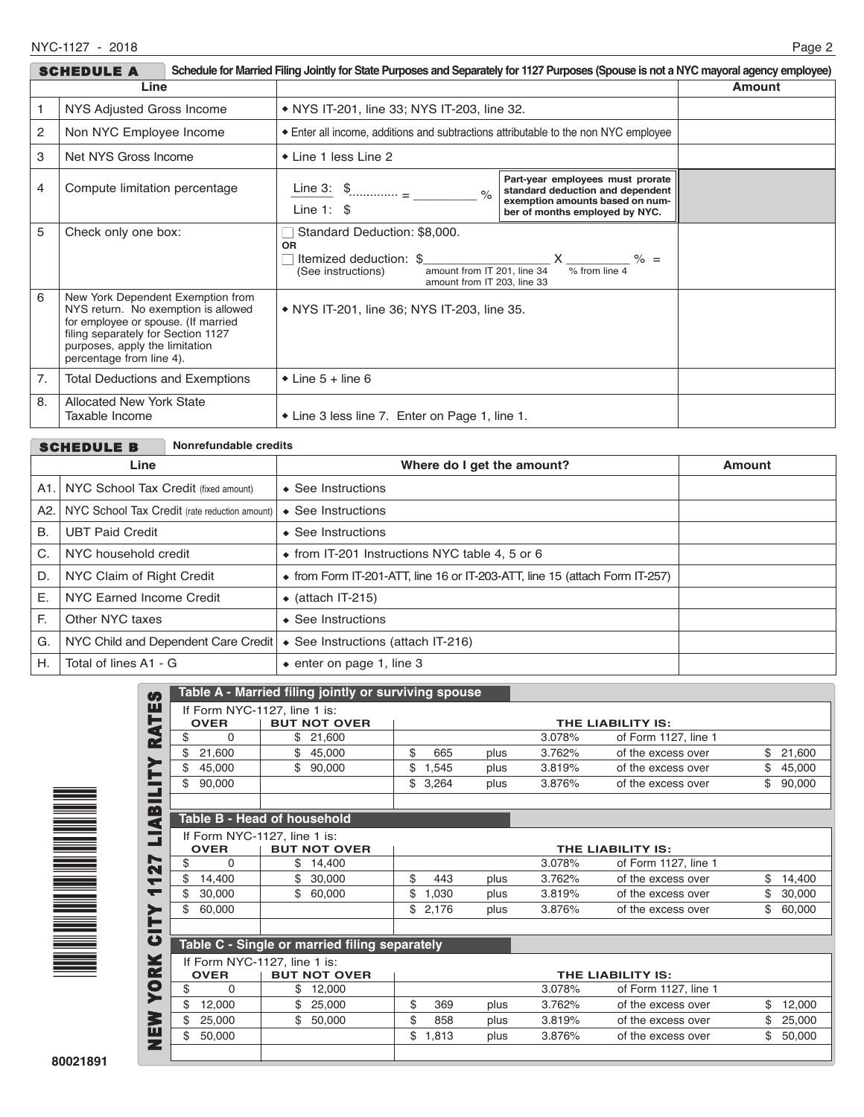|                                                                                                                                                                                                                          | <b>SCHEDULE A</b>                                 | Schedule for Married Filing Jointly for State Purposes and Separately for 1127 Purposes (Spouse is not a NYC mayoral agency employee)                   |                                                                                                                                           |        |
|--------------------------------------------------------------------------------------------------------------------------------------------------------------------------------------------------------------------------|---------------------------------------------------|---------------------------------------------------------------------------------------------------------------------------------------------------------|-------------------------------------------------------------------------------------------------------------------------------------------|--------|
| Line                                                                                                                                                                                                                     |                                                   |                                                                                                                                                         |                                                                                                                                           | Amount |
| NYS Adjusted Gross Income                                                                                                                                                                                                |                                                   | • NYS IT-201, line 33; NYS IT-203, line 32.                                                                                                             |                                                                                                                                           |        |
| 2                                                                                                                                                                                                                        | Non NYC Employee Income                           | • Enter all income, additions and subtractions attributable to the non NYC employee                                                                     |                                                                                                                                           |        |
| 3                                                                                                                                                                                                                        | Net NYS Gross Income                              | ◆ Line 1 less Line 2                                                                                                                                    |                                                                                                                                           |        |
| 4                                                                                                                                                                                                                        | Compute limitation percentage                     | Line 3: $\frac{1}{2}$<br>$\frac{1}{2}$<br>Line $1:$ \$                                                                                                  | Part-year employees must prorate<br>standard deduction and dependent<br>exemption amounts based on num-<br>ber of months employed by NYC. |        |
| 5                                                                                                                                                                                                                        | Check only one box:                               | Standard Deduction: \$8,000.<br><b>OR</b><br>Itemized deduction: \$<br>amount from IT 201, line 34<br>(See instructions)<br>amount from IT 203, line 33 | $\frac{1}{\frac{1}{2}}$ $\frac{1}{\frac{1}{2}}$ $\frac{1}{\frac{1}{2}}$                                                                   |        |
| 6<br>New York Dependent Exemption from<br>NYS return. No exemption is allowed<br>for employee or spouse. (If married<br>filing separately for Section 1127<br>purposes, apply the limitation<br>percentage from line 4). |                                                   | • NYS IT-201, line 36; NYS IT-203, line 35.                                                                                                             |                                                                                                                                           |        |
| 7.                                                                                                                                                                                                                       | <b>Total Deductions and Exemptions</b>            | $\bullet$ Line 5 + line 6                                                                                                                               |                                                                                                                                           |        |
| 8.                                                                                                                                                                                                                       | <b>Allocated New York State</b><br>Taxable Income | • Line 3 less line 7. Enter on Page 1, line 1.                                                                                                          |                                                                                                                                           |        |

|      | <b>SCHEDULE B</b>                                    | Nonrefundable credits |                                                                             |        |
|------|------------------------------------------------------|-----------------------|-----------------------------------------------------------------------------|--------|
| Line |                                                      |                       | Where do I get the amount?                                                  | Amount |
| A1.  | NYC School Tax Credit (fixed amount)                 |                       | $\triangle$ See Instructions                                                |        |
|      | NYC School Tax Credit (rate reduction amount)<br>A2. |                       | See Instructions<br>$\bullet$                                               |        |
| В.   | <b>UBT Paid Credit</b>                               |                       | $\triangle$ See Instructions                                                |        |
| C.   | NYC household credit                                 |                       | • from IT-201 Instructions NYC table 4, 5 or 6                              |        |
| D.   | NYC Claim of Right Credit                            |                       | • from Form IT-201-ATT, line 16 or IT-203-ATT, line 15 (attach Form IT-257) |        |
| Ε.   | NYC Earned Income Credit                             |                       | $\bullet$ (attach IT-215)                                                   |        |
| F.   | Other NYC taxes                                      |                       | $\triangle$ See Instructions                                                |        |
| G.   | NYC Child and Dependent Care Credit                  |                       | ◆ See Instructions (attach IT-216)                                          |        |
| Η.   | Total of lines A1 - G                                |                       | $\bullet$ enter on page 1, line 3                                           |        |



| Table A - Married filing jointly or surviving spouse<br>If Form NYC-1127, line 1 is: |                              |             |      |        |                      |              |
|--------------------------------------------------------------------------------------|------------------------------|-------------|------|--------|----------------------|--------------|
| <b>OVER</b><br><b>BUT NOT OVER</b><br>THE LIABILITY IS:                              |                              |             |      |        |                      |              |
| \$<br>$\Omega$                                                                       | 21.600<br>\$                 |             |      | 3.078% | of Form 1127, line 1 |              |
| \$<br>21,600                                                                         | \$<br>45,000                 | \$<br>665   | plus | 3.762% | of the excess over   | \$<br>21,600 |
| \$<br>45,000                                                                         | \$<br>90,000                 | \$<br>1,545 | plus | 3.819% | of the excess over   | 45,000       |
| \$<br>90,000                                                                         |                              | \$<br>3,264 | plus | 3.876% | of the excess over   | \$<br>90,000 |
|                                                                                      | Table B - Head of household  |             |      |        |                      |              |
|                                                                                      | If Form NYC-1127, line 1 is: |             |      |        |                      |              |
| <b>OVER</b>                                                                          | <b>BUT NOT OVER</b>          |             |      |        | THE LIABILITY IS:    |              |
| \$<br>$\Omega$                                                                       | \$14,400                     |             |      | 3.078% | of Form 1127, line 1 |              |
| \$<br>14,400                                                                         | 30,000                       | \$<br>443   | plus | 3.762% | of the excess over   | \$<br>14,400 |
| \$<br>30,000                                                                         | \$<br>60,000                 | \$<br>1,030 | plus | 3.819% | of the excess over   | 30,000       |
| \$<br>60,000                                                                         |                              | \$<br>2,176 | plus | 3.876% | of the excess over   | \$<br>60,000 |
| Table C - Single or married filing separately                                        |                              |             |      |        |                      |              |
|                                                                                      | If Form NYC-1127, line 1 is: |             |      |        |                      |              |
| <b>YORK</b><br><b>BUT NOT OVER</b><br><b>OVER</b><br>THE LIABILITY IS:               |                              |             |      |        |                      |              |
| \$<br>$\Omega$                                                                       | 12,000<br>\$                 |             |      | 3.078% | of Form 1127, line 1 |              |
| \$<br>12,000                                                                         | \$<br>25,000                 | \$<br>369   | plus | 3.762% | of the excess over   | \$<br>12,000 |
| \$<br>25,000                                                                         | \$<br>50,000                 | \$<br>858   | plus | 3.819% | of the excess over   | \$<br>25,000 |
| \$<br>50,000                                                                         |                              | \$<br>1,813 | plus | 3.876% | of the excess over   | \$<br>50,000 |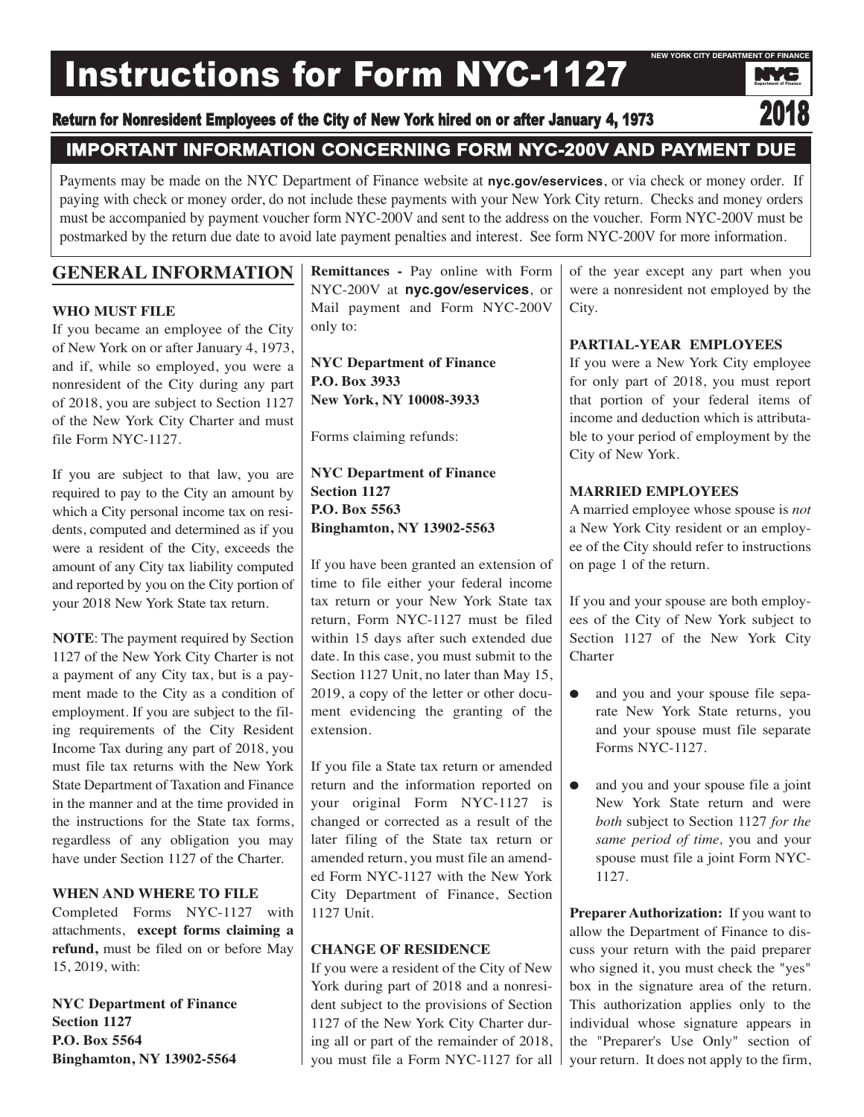# Instructions for Form NYC-1127



# **IMPORTANT INFORMATION CONCERNING FORM NYC-200V AND PAYMENT DUE**

Payments may be made on the NYC Department of Finance website at **nyc.gov/eservices**, or via check or money order. If paying with check or money order, do not include these payments with your New York City return. Checks and money orders must be accompanied by payment voucher form NYC-200V and sent to the address on the voucher. Form NYC-200V must be postmarked by the return due date to avoid late payment penalties and interest. See form NYC-200V for more information.

# **GENERAL INFORMATION**

### **WHO MUST FILE**

If you became an employee of the City of New York on or after January 4, 1973, and if, while so employed, you were a nonresident of the City during any part of 2018, you are subject to Section 1127 of the New York City Charter and must file Form NYC-1127.

If you are subject to that law, you are required to pay to the City an amount by which a City personal income tax on residents, computed and determined as if you were a resident of the City, exceeds the amount of any City tax liability computed and reported by you on the City portion of your 2018 New York State tax return.

**NOTE**: The payment required by Section 1127 of the New York City Charter is not a payment of any City tax, but is a payment made to the City as a condition of employment. If you are subject to the filing requirements of the City Resident Income Tax during any part of 2018, you must file tax returns with the New York State Department of Taxation and Finance in the manner and at the time provided in the instructions for the State tax forms, regardless of any obligation you may have under Section 1127 of the Charter.

#### **WHEN AND WHERE TO FILE**

Completed Forms NYC-1127 with attachments, **except forms claiming a refund,** must be filed on or before May 15, 2019, with:

**NYC Department of Finance Section 1127 P.O. Box 5564 Binghamton, NY 13902-5564**

**Remittances -** Pay online with Form NYC-200V at **nyc.gov/eservices**, or Mail payment and Form NYC-200V only to:

**NYC Department of Finance P.O. Box 3933 New York, NY 10008-3933**

Forms claiming refunds:

**NYC Department of Finance Section 1127 P.O. Box 5563 Binghamton, NY 13902-5563**

If you have been granted an extension of time to file either your federal income tax return or your New York State tax return, Form NYC-1127 must be filed within 15 days after such extended due date. In this case, you must submit to the Section 1127 Unit, no later than May 15, 2019, a copy of the letter or other document evidencing the granting of the extension.

If you file a State tax return or amended return and the information reported on your original Form NYC-1127 is changed or corrected as a result of the later filing of the State tax return or amended return, you must file an amended Form NYC-1127 with the New York City Department of Finance, Section 1127 Unit.

# **CHANGE OF RESIDENCE**

If you were a resident of the City of New York during part of 2018 and a nonresident subject to the provisions of Section 1127 of the New York City Charter during all or part of the remainder of 2018, you must file a Form NYC-1127 for all

of the year except any part when you were a nonresident not employed by the City.

# **PARTIAL-YEAR EMPLOYEES**

If you were a New York City employee for only part of 2018, you must report that portion of your federal items of income and deduction which is attributable to your period of employment by the City of New York.

# **MARRIED EMPLOYEES**

A married employee whose spouse is *not* a New York City resident or an employee of the City should refer to instructions on page 1 of the return.

If you and your spouse are both employees of the City of New York subject to Section 1127 of the New York City **Charter** 

- and you and your spouse file separate New York State returns, you and your spouse must file separate Forms NYC-1127.
- and you and your spouse file a joint New York State return and were *both* subject to Section 1127 *for the same period of time,* you and your spouse must file a joint Form NYC-1127.

**Preparer Authorization:** If you want to allow the Department of Finance to discuss your return with the paid preparer who signed it, you must check the "yes" box in the signature area of the return. This authorization applies only to the individual whose signature appears in the "Preparer's Use Only" section of your return. It does not apply to the firm,

Department of Finance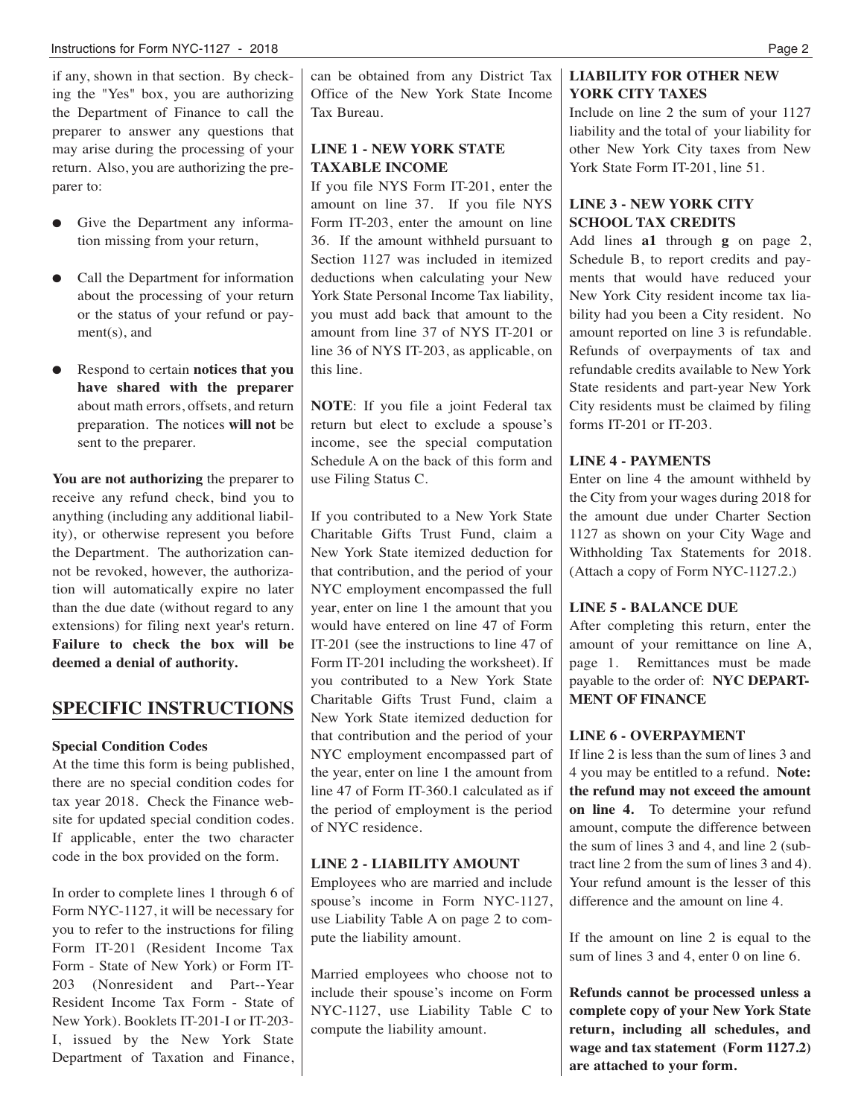if any, shown in that section. By checking the "Yes" box, you are authorizing the Department of Finance to call the preparer to answer any questions that may arise during the processing of your return. Also, you are authorizing the preparer to:

- Give the Department any information missing from your return,
- Call the Department for information about the processing of your return or the status of your refund or payment(s), and
- Respond to certain **notices that you have shared with the preparer** about math errors, offsets, and return preparation. The notices **will not** be sent to the preparer.

**You are not authorizing** the preparer to receive any refund check, bind you to anything (including any additional liability), or otherwise represent you before the Department. The authorization cannot be revoked, however, the authorization will automatically expire no later than the due date (without regard to any extensions) for filing next year's return. **Failure to check the box will be deemed a denial of authority.**

# **SPECIFIC INSTRUCTIONS**

#### **Special Condition Codes**

At the time this form is being published, there are no special condition codes for tax year 2018. Check the Finance website for updated special condition codes. If applicable, enter the two character code in the box provided on the form.

In order to complete lines 1 through 6 of Form NYC-1127, it will be necessary for you to refer to the instructions for filing Form IT-201 (Resident Income Tax Form - State of New York) or Form IT-203 (Nonresident and Part--Year Resident Income Tax Form - State of New York). Booklets IT-201-I or IT-203- I, issued by the New York State Department of Taxation and Finance,

can be obtained from any District Tax Office of the New York State Income Tax Bureau.

#### **LINE 1 - NEW YORK STATE TAXABLE INCOME**

If you file NYS Form IT-201, enter the amount on line 37. If you file NYS Form IT-203, enter the amount on line 36. If the amount withheld pursuant to Section 1127 was included in itemized deductions when calculating your New York State Personal Income Tax liability, you must add back that amount to the amount from line 37 of NYS IT-201 or line 36 of NYS IT-203, as applicable, on this line.

**NOTE**: If you file a joint Federal tax return but elect to exclude a spouse's income, see the special computation Schedule A on the back of this form and use Filing Status C.

If you contributed to a New York State Charitable Gifts Trust Fund, claim a New York State itemized deduction for that contribution, and the period of your NYC employment encompassed the full year, enter on line 1 the amount that you would have entered on line 47 of Form IT-201 (see the instructions to line 47 of Form IT-201 including the worksheet). If you contributed to a New York State Charitable Gifts Trust Fund, claim a New York State itemized deduction for that contribution and the period of your NYC employment encompassed part of the year, enter on line 1 the amount from line 47 of Form IT-360.1 calculated as if the period of employment is the period of NYC residence.

#### **LINE 2 - LIABILITY AMOUNT**

Employees who are married and include spouse's income in Form NYC-1127, use Liability Table A on page 2 to compute the liability amount.

Married employees who choose not to include their spouse's income on Form NYC-1127, use Liability Table C to compute the liability amount.

# **LIABILITY FOR OTHER NEW YORK CITY TAXES**

Include on line 2 the sum of your 1127 liability and the total of your liability for other New York City taxes from New York State Form IT-201, line 51.

# **LINE 3 - NEW YORK CITY SCHOOL TAX CREDITS**

Add lines **a1** through **g** on page 2, Schedule B, to report credits and payments that would have reduced your New York City resident income tax liability had you been a City resident. No amount reported on line 3 is refundable. Refunds of overpayments of tax and refundable credits available to New York State residents and part-year New York City residents must be claimed by filing forms IT-201 or IT-203.

### **LINE 4 - PAYMENTS**

Enter on line 4 the amount withheld by the City from your wages during 2018 for the amount due under Charter Section 1127 as shown on your City Wage and Withholding Tax Statements for 2018. (Attach a copy of Form NYC-1127.2.)

#### **LINE 5 - BALANCE DUE**

After completing this return, enter the amount of your remittance on line A, page 1. Remittances must be made payable to the order of: **NYC DEPART-MENT OF FINANCE**

#### **LINE 6 - OVERPAYMENT**

If line 2 is less than the sum of lines 3 and 4 you may be entitled to a refund. **Note: the refund may not exceed the amount on line 4.** To determine your refund amount, compute the difference between the sum of lines 3 and 4, and line 2 (subtract line 2 from the sum of lines 3 and 4). Your refund amount is the lesser of this difference and the amount on line 4.

If the amount on line 2 is equal to the sum of lines 3 and 4, enter 0 on line 6.

**Refunds cannot be processed unless a complete copy of your New York State return, including all schedules, and wage and tax statement (Form 1127.2) are attached to your form.**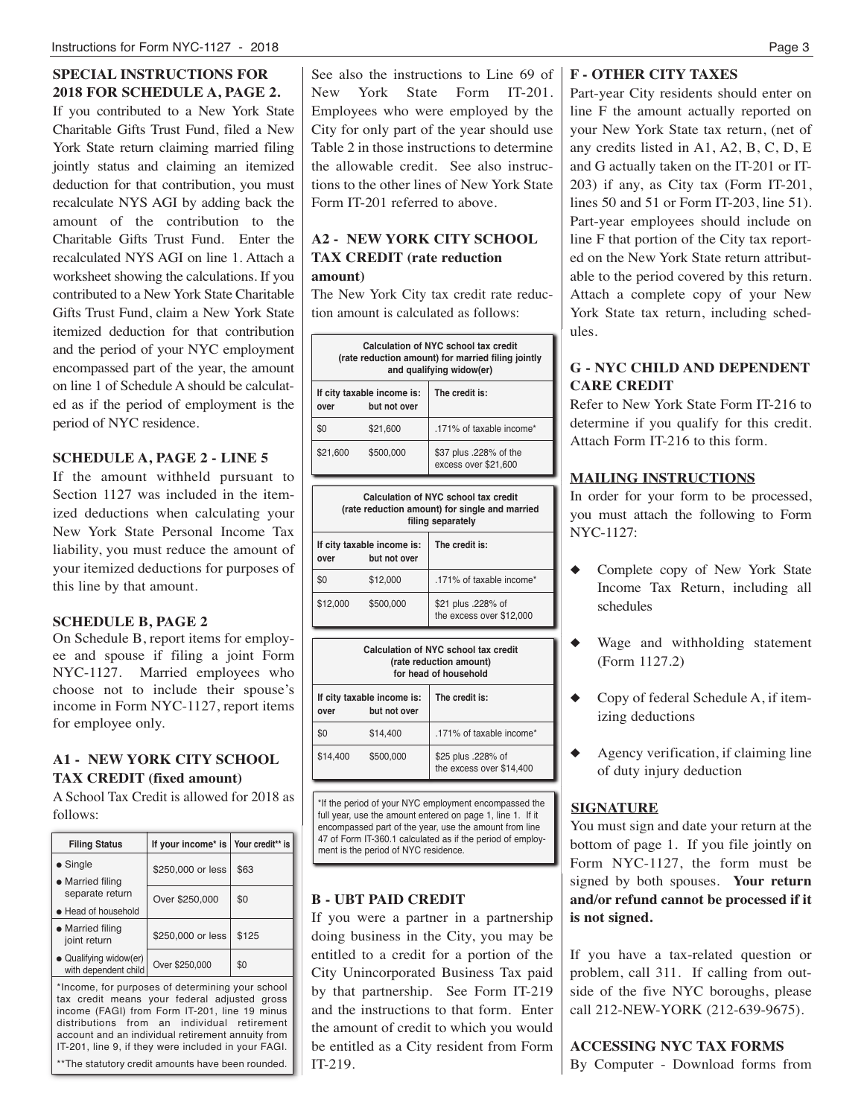# **SPECIAL INSTRUCTIONS FOR 2018 FOR SCHEDULE A, PAGE 2.**

If you contributed to a New York State Charitable Gifts Trust Fund, filed a New York State return claiming married filing jointly status and claiming an itemized deduction for that contribution, you must recalculate NYS AGI by adding back the amount of the contribution to the Charitable Gifts Trust Fund. Enter the recalculated NYS AGI on line 1. Attach a worksheet showing the calculations. If you contributed to a New York State Charitable Gifts Trust Fund, claim a New York State itemized deduction for that contribution and the period of your NYC employment encompassed part of the year, the amount on line 1 of Schedule A should be calculated as if the period of employment is the period of NYC residence.

#### **SCHEDULE A, PAGE 2 - LINE 5**

If the amount withheld pursuant to Section 1127 was included in the itemized deductions when calculating your New York State Personal Income Tax liability, you must reduce the amount of your itemized deductions for purposes of this line by that amount.

#### **SCHEDULE B, PAGE 2**

On Schedule B, report items for employee and spouse if filing a joint Form NYC-1127. Married employees who choose not to include their spouse's income in Form NYC-1127, report items for employee only.

#### **A1 - NEW YORK CITY SCHOOL TAX CREDIT (fixed amount)**

A School Tax Credit is allowed for 2018 as follows:

| <b>Filing Status</b>                           | If your income* is   Your credit** is |       |
|------------------------------------------------|---------------------------------------|-------|
| $\bullet$ Single<br>• Married filing           | \$250,000 or less                     | \$63  |
| separate return<br>• Head of household         | Over \$250,000                        | \$0   |
| • Married filing<br>joint return               | \$250,000 or less                     | \$125 |
| • Qualifying widow(er)<br>with dependent child | Over \$250,000                        | \$0   |

\*Income, for purposes of determining your school tax credit means your federal adjusted gross income (FAGI) from Form IT-201, line 19 minus distributions from an individual retirement account and an individual retirement annuity from IT-201, line 9, if they were included in your FAGI. \*\*The statutory credit amounts have been rounded. See also the instructions to Line 69 of New York State Form IT-201. Employees who were employed by the City for only part of the year should use Table 2 in those instructions to determine the allowable credit. See also instructions to the other lines of New York State Form IT-201 referred to above.

### **A2 - NEW YORK CITY SCHOOL TAX CREDIT (rate reduction amount)**

The New York City tax credit rate reduction amount is calculated as follows:

| Calculation of NYC school tax credit<br>(rate reduction amount) for married filing jointly<br>and qualifying widow(er) |                                            |                                                |  |  |  |  |
|------------------------------------------------------------------------------------------------------------------------|--------------------------------------------|------------------------------------------------|--|--|--|--|
| over                                                                                                                   | If city taxable income is:<br>but not over | The credit is:                                 |  |  |  |  |
| \$0                                                                                                                    | \$21,600                                   | .171% of taxable income*                       |  |  |  |  |
| \$21,600                                                                                                               | \$500,000                                  | \$37 plus .228% of the<br>excess over \$21,600 |  |  |  |  |
| Calculation of NYC school tax credit<br>(rate reduction amount) for single and married<br>filing separately            |                                            |                                                |  |  |  |  |
| over                                                                                                                   | If city taxable income is:<br>but not over | The credit is:                                 |  |  |  |  |

| \$12,000 | \$500,000                                  | \$21 plus .228% of<br>the excess over \$12,000                                           |
|----------|--------------------------------------------|------------------------------------------------------------------------------------------|
|          |                                            | Calculation of NYC school tax credit<br>(rate reduction amount)<br>for head of household |
| over     | If city taxable income is:<br>but not over | The credit is:                                                                           |
| \$0      | \$14.400                                   | .171% of taxable income*                                                                 |
| \$14,400 | \$500.000                                  | \$25 plus .228% of                                                                       |

\$0 \$12,000 .171% of taxable income\*

\*If the period of your NYC employment encompassed the full year, use the amount entered on page 1, line 1. If it encompassed part of the year, use the amount from line 47 of Form IT-360.1 calculated as if the period of employ**integral is the period of NYC residence.** 

the excess over \$14,400

#### **B - UBT PAID CREDIT**

If you were a partner in a partnership doing business in the City, you may be entitled to a credit for a portion of the City Unincorporated Business Tax paid by that partnership. See Form IT-219 and the instructions to that form. Enter the amount of credit to which you would be entitled as a City resident from Form IT-219.

#### **F - OTHER CITY TAXES**

Part-year City residents should enter on line F the amount actually reported on your New York State tax return, (net of any credits listed in A1, A2, B, C, D, E and G actually taken on the IT-201 or IT-203) if any, as City tax (Form IT-201, lines 50 and 51 or Form IT-203, line 51). Part-year employees should include on line F that portion of the City tax reported on the New York State return attributable to the period covered by this return. Attach a complete copy of your New York State tax return, including schedules.

# **G - NYC CHILD AND DEPENDENT CARE CREDIT**

Refer to New York State Form IT-216 to determine if you qualify for this credit. Attach Form IT-216 to this form.

#### **MAILING INSTRUCTIONS**

In order for your form to be processed, you must attach the following to Form NYC-1127:

- Complete copy of New York State Income Tax Return, including all schedules
- Wage and withholding statement (Form 1127.2)
- Copy of federal Schedule A, if itemizing deductions
- Agency verification, if claiming line of duty injury deduction

#### **SIGNATURE**

You must sign and date your return at the bottom of page 1. If you file jointly on Form NYC-1127, the form must be signed by both spouses. **Your return and/or refund cannot be processed if it is not signed.**

If you have a tax-related question or problem, call 311. If calling from outside of the five NYC boroughs, please call 212-NEW-YORK (212-639-9675).

**ACCESSING NYC TAX FORMS** By Computer - Download forms from